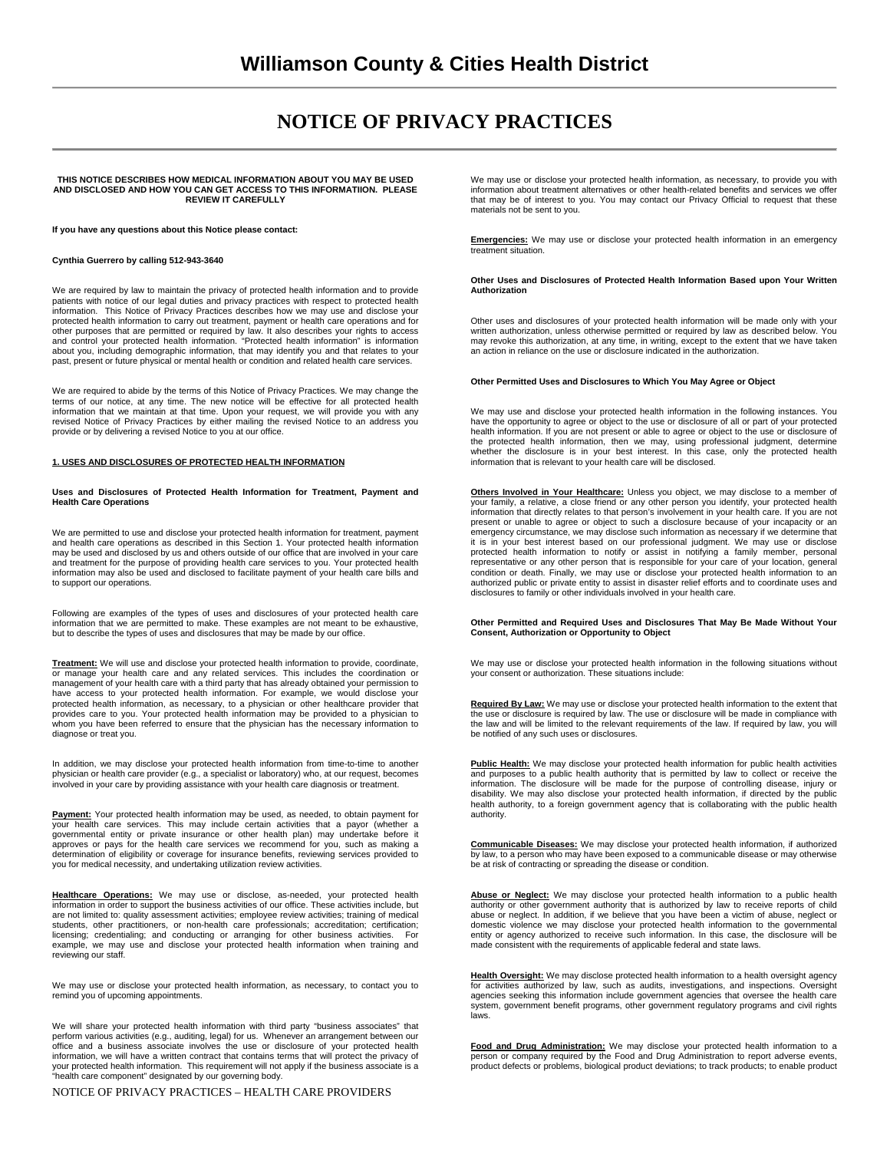# **NOTICE OF PRIVACY PRACTICES**

## **THIS NOTICE DESCRIBES HOW MEDICAL INFORMATION ABOUT YOU MAY BE USED AND DISCLOSED AND HOW YOU CAN GET ACCESS TO THIS INFORMATIION. PLEASE REVIEW IT CAREFULLY**

**If you have any questions about this Notice please contact:** 

#### **Cynthia Guerrero by calling 512-943-3640**

We are required by law to maintain the privacy of protected health information and to provide patients with notice of our legal duties and privacy practices with respect to protected health information. This Notice of Privacy Practices describes how we may use and disclose your protected health information to carry out treatment, payment or health care operations and for other purposes that are permitted or required by law. It also describes your rights to access and control your protected health information. "Protected health information" is information about you, including demographic information, that may identify you and that relates to your past, present or future physical or mental health or condition and related health care services.

We are required to abide by the terms of this Notice of Privacy Practices. We may change the terms of our notice, at any time. The new notice will be effective for all protected health information that we maintain at that time. Upon your request, we will provide you with any revised Notice of Privacy Practices by either mailing the revised Notice to an address you provide or by delivering a revised Notice to you at our office.

## **1. USES AND DISCLOSURES OF PROTECTED HEALTH INFORMATION**

**Uses and Disclosures of Protected Health Information for Treatment, Payment and Health Care Operations** 

We are permitted to use and disclose your protected health information for treatment, payment and health care operations as described in this Section 1. Your protected health information may be used and disclosed by us and others outside of our office that are involved in your care and treatment for the purpose of providing health care services to you. Your protected health information may also be used and disclosed to facilitate payment of your health care bills and to support our operations.

Following are examples of the types of uses and disclosures of your protected health care information that we are permitted to make. These examples are not meant to be exhaustive, but to describe the types of uses and disclosures that may be made by our office.

**Treatment:** We will use and disclose your protected health information to provide, coordinate, or manage your health care and any related services. This includes the coordination or management of your health care with a third party that has already obtained your permission to have access to your protected health information. For example, we would disclose your protected health information, as necessary, to a physician or other healthcare provider that provides care to you. Your protected health information may be provided to a physician to whom you have been referred to ensure that the physician has the necessary information to diagnose or treat you.

In addition, we may disclose your protected health information from time-to-time to another physician or health care provider (e.g., a specialist or laboratory) who, at our request, becomes involved in your care by providing assistance with your health care diagnosis or treatment.

**Payment:** Your protected health information may be used, as needed, to obtain payment for your health care services. This may include certain activities that a payor (whether a governmental entity or private insurance or other health plan) may undertake before it approves or pays for the health care services we recommend for you, such as making a determination of eligibility or coverage for insurance benefits, reviewing services provided to you for medical necessity, and undertaking utilization review activities.

**Healthcare Operations:** We may use or disclose, as-needed, your protected health information in order to support the business activities of our office. These activities include, but are not limited to: quality assessment activities; employee review activities; training of medical students, other practitioners, or non-health care professionals; accreditation; certification; licensing; credentialing; and conducting or arranging for other business activities. For example, we may use and disclose your protected health information when training and reviewing our staff.

We may use or disclose your protected health information, as necessary, to contact you to remind you of upcoming appointments.

We will share your protected health information with third party "business associates" that perform various activities (e.g., auditing, legal) for us. Whenever an arrangement between our office and a business associate involves the use or disclosure of your protected health information, we will have a written contract that contains terms that will protect the privacy of your protected health information. This requirement will not apply if the business associate is a "health care component" designated by our governing body.

NOTICE OF PRIVACY PRACTICES – HEALTH CARE PROVIDERS

We may use or disclose your protected health information, as necessary, to provide you with information about treatment alternatives or other health-related benefits and services we offer that may be of interest to you. You may contact our Privacy Official to request that these materials not be sent to you.

**Emergencies:** We may use or disclose your protected health information in an emergency treatment situation.

#### **Other Uses and Disclosures of Protected Health Information Based upon Your Written Authorization**

Other uses and disclosures of your protected health information will be made only with your written authorization, unless otherwise permitted or required by law as described below. You may revoke this authorization, at any time, in writing, except to the extent that we have taken an action in reliance on the use or disclosure indicated in the authorization.

### **Other Permitted Uses and Disclosures to Which You May Agree or Object**

We may use and disclose your protected health information in the following instances. You have the opportunity to agree or object to the use or disclosure of all or part of your protected health information. If you are not present or able to agree or object to the use or disclosure of<br>the protected health information, then we may, using professional judgment, determine<br>whether the disclosure is in your best information that is relevant to your health care will be disclosed.

**Others Involved in Your Healthcare:** Unless you object, we may disclose to a member of your family, a relative, a close friend or any other person you identify, your protected health information that directly relates to that person's involvement in your health care. If you are not present or unable to agree or object to such a disclosure because of your incapacity or an emergency circumstance, we may disclose such information as necessary if we determine that it is in your best interest based on our professional judgment. We may use or disclose protected health information to notify or assist in notifying a family member, personal representative or any other person that is responsible for your care of your location, general condition or death. Finally, we may use or disclose your protected health information to an authorized public or private entity to assist in disaster relief efforts and to coordinate uses and disclosures to family or other individuals involved in your health care.

## **Other Permitted and Required Uses and Disclosures That May Be Made Without Your Consent, Authorization or Opportunity to Object**

We may use or disclose your protected health information in the following situations without your consent or authorization. These situations include:

**Required By Law:** We may use or disclose your protected health information to the extent that the use or disclosure is required by law. The use or disclosure will be made in compliance with the law and will be limited to the relevant requirements of the law. If required by law, you will be notified of any such uses or disclosures.

Public Health: We may disclose your protected health information for public health activities and purposes to a public health authority that is permitted by law to collect or receive the information. The disclosure will be made for the purpose of controlling disease, injury or disability. We may also disclose your protected health information, if directed by the public health authority, to a foreign government agency that is collaborating with the public health authority.

**Communicable Diseases:** We may disclose your protected health information, if authorized by law, to a person who may have been exposed to a communicable disease or may otherwise be at risk of contracting or spreading the disease or condition.

**Abuse or Neglect:** We may disclose your protected health information to a public health authority or other government authority that is authorized by law to receive reports of child abuse or neglect. In addition, if we believe that you have been a victim of abuse, neglect or domestic violence we may disclose your protected health information to the governmental entity or agency authorized to receive such information. In this case, the disclosure will be made consistent with the requirements of applicable federal and state laws.

**Health Oversight:** We may disclose protected health information to a health oversight agency for activities authorized by law, such as audits, investigations, and inspections. Oversight agencies seeking this information include government agencies that oversee the health care system, government benefit programs, other government regulatory programs and civil rights laws.

**Food and Drug Administration:** We may disclose your protected health information to a person or company required by the Food and Drug Administration to report adverse events,<br>product defects or problems, biological product deviations; to track products; to enable product